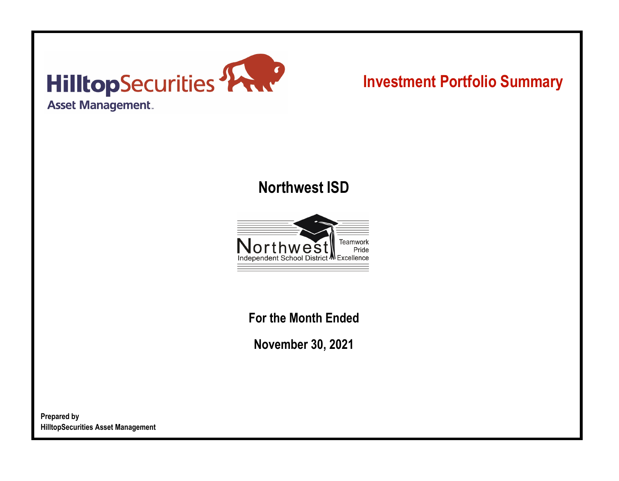

# **Investment Portfolio Summary**

## **Northwest ISD**



**For the Month Ended**

**November 30, 2021**

**Prepared by HilltopSecurities Asset Management**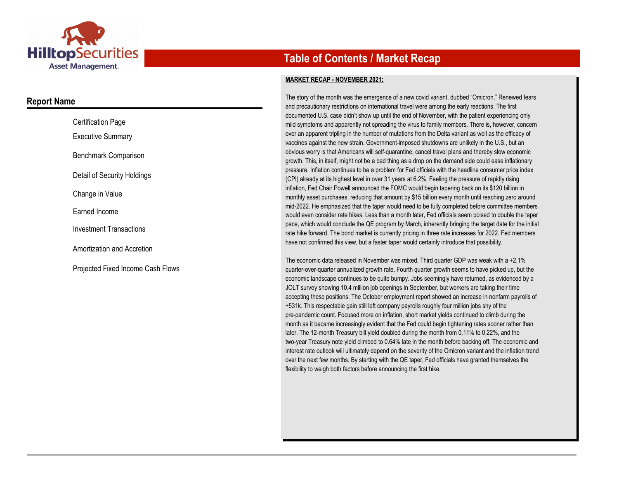

### **Report Name**

| <b>Certification Page</b>         |
|-----------------------------------|
| <b>Executive Summary</b>          |
| Benchmark Comparison              |
| Detail of Security Holdings       |
| Change in Value                   |
| Earned Income                     |
| Investment Transactions           |
| Amortization and Accretion        |
| Projected Fixed Income Cash Flows |

## **Table of Contents / Market Recap**

#### **MARKET RECAP - NOVEMBER 2021:**

The story of the month was the emergence of a new covid variant, dubbed "Omicron." Renewed fears and precautionary restrictions on international travel were among the early reactions. The first documented U.S. case didn't show up until the end of November, with the patient experiencing only mild symptoms and apparently not spreading the virus to family members. There is, however, concern over an apparent tripling in the number of mutations from the Delta variant as well as the efficacy of vaccines against the new strain. Government-imposed shutdowns are unlikely in the U.S., but an obvious worry is that Americans will self-quarantine, cancel travel plans and thereby slow economic growth. This, in itself, might not be a bad thing as a drop on the demand side could ease inflationary pressure. Inflation continues to be a problem for Fed officials with the headline consumer price index (CPI) already at its highest level in over 31 years at 6.2%. Feeling the pressure of rapidly rising inflation, Fed Chair Powell announced the FOMC would begin tapering back on its \$120 billion in monthly asset purchases, reducing that amount by \$15 billion every month until reaching zero around mid-2022. He emphasized that the taper would need to be fully completed before committee members would even consider rate hikes. Less than a month later, Fed officials seem poised to double the taper pace, which would conclude the QE program by March, inherently bringing the target date for the initial rate hike forward. The bond market is currently pricing in three rate increases for 2022. Fed members have not confirmed this view, but a faster taper would certainly introduce that possibility.

The economic data released in November was mixed. Third quarter GDP was weak with a +2.1% quarter-over-quarter annualized growth rate. Fourth quarter growth seems to have picked up, but the economic landscape continues to be quite bumpy. Jobs seemingly have returned, as evidenced by a JOLT survey showing 10.4 million job openings in September, but workers are taking their time accepting these positions. The October employment report showed an increase in nonfarm payrolls of +531k. This respectable gain still left company payrolls roughly four million jobs shy of the pre-pandemic count. Focused more on inflation, short market yields continued to climb during the month as it became increasingly evident that the Fed could begin tightening rates sooner rather than later. The 12-month Treasury bill yield doubled during the month from 0.11% to 0.22%, and the two-year Treasury note yield climbed to 0.64% late in the month before backing off. The economic and interest rate outlook will ultimately depend on the severity of the Omicron variant and the inflation trend over the next few months. By starting with the QE taper, Fed officials have granted themselves the flexibility to weigh both factors before announcing the first hike.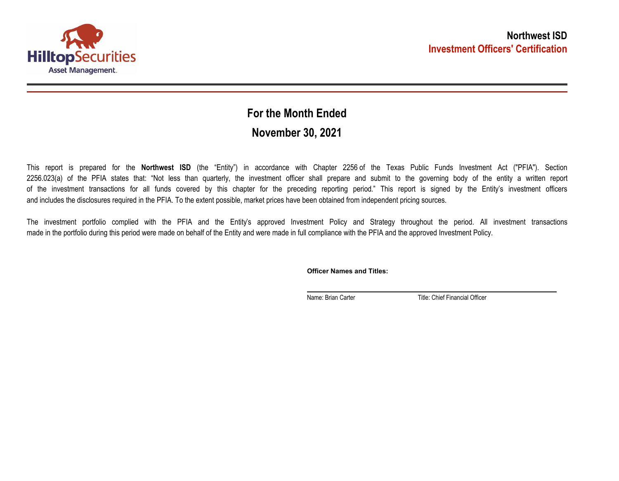

## **November 30, 2021 For the Month Ended**

This report is prepared for the **Northwest ISD** (the "Entity") in accordance with Chapter 2256 of the Texas Public Funds Investment Act ("PFIA"). Section 2256.023(a) of the PFIA states that: "Not less than quarterly, the investment officer shall prepare and submit to the governing body of the entity a written report of the investment transactions for all funds covered by this chapter for the preceding reporting period." This report is signed by the Entity's investment officers and includes the disclosures required in the PFIA. To the extent possible, market prices have been obtained from independent pricing sources.

The investment portfolio complied with the PFIA and the Entity's approved Investment Policy and Strategy throughout the period. All investment transactions made in the portfolio during this period were made on behalf of the Entity and were made in full compliance with the PFIA and the approved Investment Policy.

**Officer Names and Titles:**

Name: Brian Carter Title: Chief Financial Officer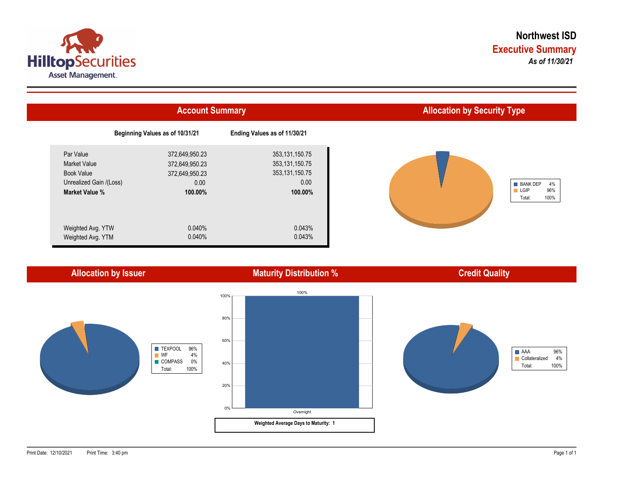



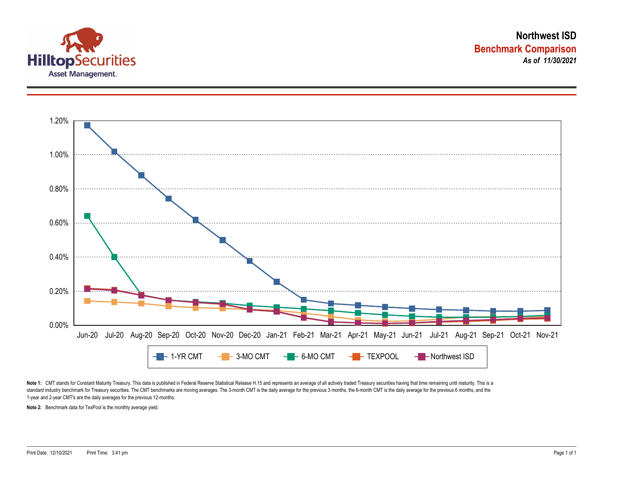



Note 1: CMT stands for Constant Maturity Treasury. This data is published in Federal Reserve Statistical Release H.15 and represents an average of all actively traded Treasury securities having that time remaining until ma standard industry benchmark for Treasury securities. The CMT benchmarks are moving averages. The 3-month CMT is the daily average for the previous 3 months, the 6-month CMT is the daily average for the previous 6 months, a 1-year and 2-year CMT's are the daily averages for the previous 12-months.

**Note 2:** Benchmark data for TexPool is the monthly average yield.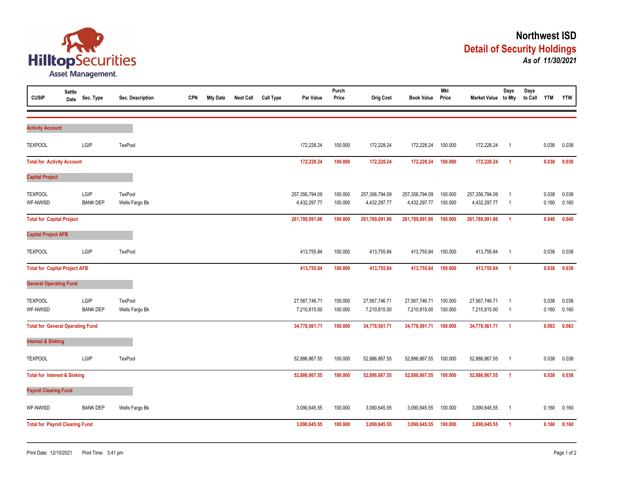

| <b>CUSIP</b>                            | <b>Settle</b><br>Date | Sec. Type               | Sec. Description          | <b>CPN</b> | <b>Mty Date</b> | <b>Next Call</b> | Call Type | Par Value                      | Purch<br>Price     | <b>Orig Cost</b>               | <b>Book Value</b>              | <b>Mkt</b><br>Price | Market Value to Mty            | Days                             | Days<br>to Call YTM |                | <b>YTW</b>     |
|-----------------------------------------|-----------------------|-------------------------|---------------------------|------------|-----------------|------------------|-----------|--------------------------------|--------------------|--------------------------------|--------------------------------|---------------------|--------------------------------|----------------------------------|---------------------|----------------|----------------|
| <b>Activity Account</b>                 |                       |                         |                           |            |                 |                  |           |                                |                    |                                |                                |                     |                                |                                  |                     |                |                |
| <b>TEXPOOL</b>                          |                       | LGIP                    | <b>TexPool</b>            |            |                 |                  |           | 172,228.24                     | 100.000            | 172,228.24                     | 172,228.24                     | 100.000             | 172,228.24                     | $\overline{1}$                   |                     | 0.038          | 0.038          |
| <b>Total for Activity Account</b>       |                       |                         |                           |            |                 |                  |           | 172,228.24                     | 100.000            | 172,228.24                     | 172,228.24                     | 100.000             | 172,228.24                     | $\blacktriangleleft$             |                     | 0.038          | 0.038          |
| <b>Capital Project</b>                  |                       |                         |                           |            |                 |                  |           |                                |                    |                                |                                |                     |                                |                                  |                     |                |                |
| <b>TEXPOOL</b><br>WF-NWISD              |                       | LGIP<br><b>BANK DEP</b> | TexPool<br>Wells Fargo Bk |            |                 |                  |           | 257,356,794.09<br>4,432,297.77 | 100.000<br>100.000 | 257,356,794.09<br>4,432,297.77 | 257,356,794.09<br>4,432,297.77 | 100.000<br>100.000  | 257,356,794.09<br>4,432,297.77 | $\overline{1}$<br>$\overline{1}$ |                     | 0.038<br>0.160 | 0.038<br>0.160 |
| <b>Total for Capital Project</b>        |                       |                         |                           |            |                 |                  |           | 261,789,091.86                 | 100.000            | 261,789,091.86                 | 261,789,091.86                 | 100.000             | 261,789,091.86                 | $\blacktriangleleft$             |                     | 0.040          | 0.040          |
| <b>Capital Project AFB</b>              |                       |                         |                           |            |                 |                  |           |                                |                    |                                |                                |                     |                                |                                  |                     |                |                |
| <b>TEXPOOL</b>                          |                       | LGIP                    | <b>TexPool</b>            |            |                 |                  |           | 413,755.84                     | 100.000            | 413,755.84                     | 413,755.84                     | 100.000             | 413,755.84                     | $\overline{1}$                   |                     | 0.038          | 0.038          |
| <b>Total for Capital Project AFB</b>    |                       |                         |                           |            |                 |                  |           | 413,755.84                     | 100.000            | 413,755.84                     | 413,755.84                     | 100.000             | 413,755.84                     | $\overline{1}$                   |                     | 0.038          | 0.038          |
| <b>General Operating Fund</b>           |                       |                         |                           |            |                 |                  |           |                                |                    |                                |                                |                     |                                |                                  |                     |                |                |
| <b>TEXPOOL</b><br>WF-NWISD              |                       | LGIP<br><b>BANK DEP</b> | TexPool<br>Wells Fargo Bk |            |                 |                  |           | 27,567,746.71<br>7,210,815.00  | 100.000<br>100.000 | 27,567,746.71<br>7,210,815.00  | 27,567,746.71<br>7,210,815.00  | 100.000<br>100.000  | 27,567,746.71<br>7,210,815.00  | $\overline{1}$<br>$\overline{1}$ |                     | 0.038<br>0.160 | 0.038<br>0.160 |
| <b>Total for General Operating Fund</b> |                       |                         |                           |            |                 |                  |           | 34,778,561.71                  | 100.000            | 34,778,561.71                  | 34,778,561.71                  | 100.000             | 34,778,561.71                  | $\overline{1}$                   |                     | 0.063          | 0.063          |
| <b>Interest &amp; Sinking</b>           |                       |                         |                           |            |                 |                  |           |                                |                    |                                |                                |                     |                                |                                  |                     |                |                |
| <b>TEXPOOL</b>                          |                       | LGIP                    | TexPool                   |            |                 |                  |           | 52,886,867.55                  | 100.000            | 52,886,867.55                  | 52,886,867.55                  | 100.000             | 52,886,867.55                  | $\overline{1}$                   |                     | 0.038          | 0.038          |
| <b>Total for Interest &amp; Sinking</b> |                       |                         |                           |            |                 |                  |           | 52,886,867.55                  | 100.000            | 52,886,867.55                  | 52,886,867.55                  | 100.000             | 52,886,867.55                  | $\blacktriangleleft$             |                     | 0.038          | 0.038          |
| <b>Payroll Clearing Fund</b>            |                       |                         |                           |            |                 |                  |           |                                |                    |                                |                                |                     |                                |                                  |                     |                |                |
| WF-NWISD                                |                       | <b>BANK DEP</b>         | Wells Fargo Bk            |            |                 |                  |           | 3,090,645.55                   | 100.000            | 3,090,645.55                   | 3,090,645.55                   | 100.000             | 3,090,645.55                   | $\overline{1}$                   |                     | 0.160          | 0.160          |
| <b>Total for Payroll Clearing Fund</b>  |                       |                         |                           |            |                 |                  |           | 3,090,645.55                   | 100.000            | 3,090,645.55                   | 3,090,645.55                   | 100.000             | 3,090,645.55                   | $\overline{1}$                   |                     | 0.160          | 0.160          |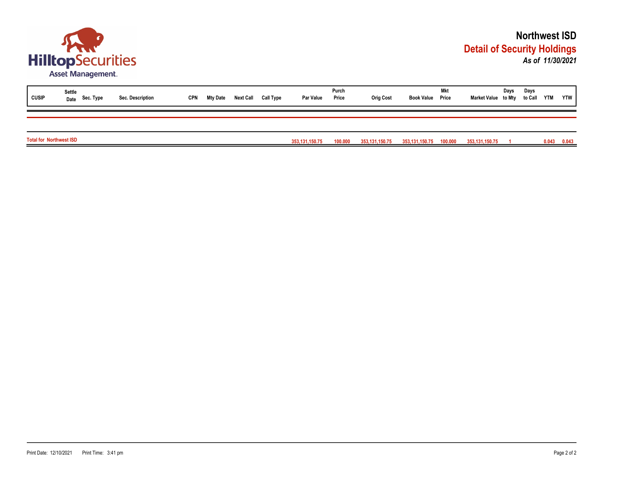

| <b>CUSIP</b>                   | Settle<br>Date Sec. Type | Sec. Description | <b>CPN</b> | Mty Date | <b>Next Call</b> | Call Type | Par Value         | Purch<br>Price | <b>Orig Cost</b> | <b>Book Value Price</b> | Mkt | Market Value to Mty | Days | Days<br>to Call YTM |       | <b>YTW</b> |
|--------------------------------|--------------------------|------------------|------------|----------|------------------|-----------|-------------------|----------------|------------------|-------------------------|-----|---------------------|------|---------------------|-------|------------|
|                                |                          |                  |            |          |                  |           |                   |                |                  |                         |     |                     |      |                     |       |            |
| <b>Total for Northwest ISD</b> |                          |                  |            |          |                  |           | 353, 131, 150. 75 | 100.000        | 353,131,150.75   | 353,131,150.75 100.000  |     | 353,131,150.75      |      |                     | 0.043 | 0.043      |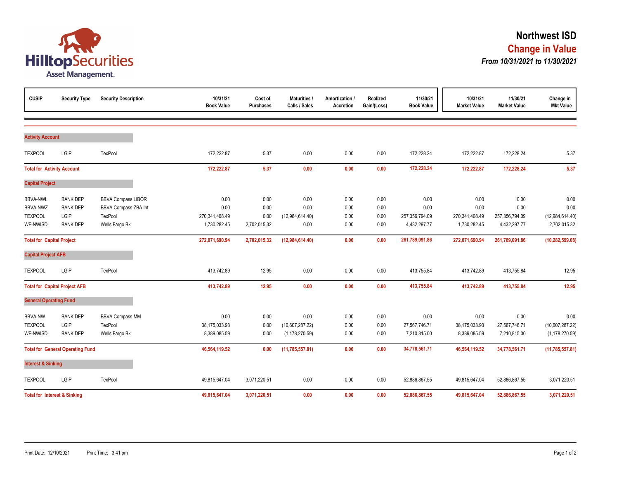

| <b>CUSIP</b>                                                     | <b>Security Type</b>                                          | <b>Security Description</b>                                                    | 10/31/21<br><b>Book Value</b>                  | Cost of<br><b>Purchases</b>          | <b>Maturities /</b><br>Calls / Sales        | Amortization /<br><b>Accretion</b> | Realized<br>Gain/(Loss)      | 11/30/21<br><b>Book Value</b>                  | 10/31/21<br><b>Market Value</b>                | 11/30/21<br><b>Market Value</b>                | Change in<br><b>Mkt Value</b>                   |
|------------------------------------------------------------------|---------------------------------------------------------------|--------------------------------------------------------------------------------|------------------------------------------------|--------------------------------------|---------------------------------------------|------------------------------------|------------------------------|------------------------------------------------|------------------------------------------------|------------------------------------------------|-------------------------------------------------|
|                                                                  |                                                               |                                                                                |                                                |                                      |                                             |                                    |                              |                                                |                                                |                                                |                                                 |
| <b>Activity Account</b>                                          |                                                               |                                                                                |                                                |                                      |                                             |                                    |                              |                                                |                                                |                                                |                                                 |
| <b>TEXPOOL</b>                                                   | LGIP                                                          | TexPool                                                                        | 172,222.87                                     | 5.37                                 | 0.00                                        | 0.00                               | 0.00                         | 172,228.24                                     | 172,222.87                                     | 172,228.24                                     | 5.37                                            |
| <b>Total for Activity Account</b>                                |                                                               |                                                                                | 172,222.87                                     | 5.37                                 | 0.00                                        | 0.00                               | 0.00                         | 172,228.24                                     | 172,222.87                                     | 172,228.24                                     | 5.37                                            |
| <b>Capital Project</b>                                           |                                                               |                                                                                |                                                |                                      |                                             |                                    |                              |                                                |                                                |                                                |                                                 |
| <b>BBVA-NWL</b><br><b>BBVA-NWZ</b><br><b>TEXPOOL</b><br>WF-NWISD | <b>BANK DEP</b><br><b>BANK DEP</b><br>LGIP<br><b>BANK DEP</b> | <b>BBVA Compass LIBOR</b><br>BBVA Compass ZBA Int<br>TexPool<br>Wells Fargo Bk | 0.00<br>0.00<br>270,341,408.49<br>1,730,282.45 | 0.00<br>0.00<br>0.00<br>2,702,015.32 | 0.00<br>0.00<br>(12,984,614.40)<br>0.00     | 0.00<br>0.00<br>0.00<br>0.00       | 0.00<br>0.00<br>0.00<br>0.00 | 0.00<br>0.00<br>257,356,794.09<br>4,432,297.77 | 0.00<br>0.00<br>270,341,408.49<br>1,730,282.45 | 0.00<br>0.00<br>257,356,794.09<br>4,432,297.77 | 0.00<br>0.00<br>(12,984,614.40)<br>2,702,015.32 |
| <b>Total for Capital Project</b>                                 |                                                               |                                                                                | 272,071,690.94                                 | 2,702,015.32                         | (12,984,614.40)                             | 0.00                               | 0.00                         | 261,789,091.86                                 | 272,071,690.94                                 | 261,789,091.86                                 | (10, 282, 599.08)                               |
| <b>Capital Project AFB</b>                                       |                                                               |                                                                                |                                                |                                      |                                             |                                    |                              |                                                |                                                |                                                |                                                 |
| <b>TEXPOOL</b>                                                   | LGIP                                                          | TexPool                                                                        | 413,742.89                                     | 12.95                                | 0.00                                        | 0.00                               | 0.00                         | 413,755.84                                     | 413,742.89                                     | 413,755.84                                     | 12.95                                           |
|                                                                  | <b>Total for Capital Project AFB</b>                          |                                                                                | 413,742.89                                     | 12.95                                | 0.00                                        | 0.00                               | 0.00                         | 413,755.84                                     | 413,742.89                                     | 413,755.84                                     | 12.95                                           |
| <b>General Operating Fund</b>                                    |                                                               |                                                                                |                                                |                                      |                                             |                                    |                              |                                                |                                                |                                                |                                                 |
| <b>BBVA-NW</b><br><b>TEXPOOL</b><br>WF-NWISD                     | <b>BANK DEP</b><br>LGIP<br><b>BANK DEP</b>                    | <b>BBVA Compass MM</b><br><b>TexPool</b><br>Wells Fargo Bk                     | 0.00<br>38,175,033.93<br>8,389,085.59          | 0.00<br>0.00<br>0.00                 | 0.00<br>(10,607,287.22)<br>(1, 178, 270.59) | 0.00<br>0.00<br>0.00               | 0.00<br>0.00<br>0.00         | 0.00<br>27,567,746.71<br>7,210,815.00          | 0.00<br>38,175,033.93<br>8,389,085.59          | 0.00<br>27,567,746.71<br>7,210,815.00          | 0.00<br>(10,607,287.22)<br>(1, 178, 270.59)     |
|                                                                  | <b>Total for General Operating Fund</b>                       |                                                                                | 46,564,119.52                                  | 0.00                                 | (11,785,557.81)                             | 0.00                               | 0.00                         | 34,778,561.71                                  | 46,564,119.52                                  | 34,778,561.71                                  | (11,785,557.81)                                 |
| <b>Interest &amp; Sinking</b>                                    |                                                               |                                                                                |                                                |                                      |                                             |                                    |                              |                                                |                                                |                                                |                                                 |
| <b>TEXPOOL</b>                                                   | LGIP                                                          | TexPool                                                                        | 49,815,647.04                                  | 3,071,220.51                         | 0.00                                        | 0.00                               | 0.00                         | 52,886,867.55                                  | 49,815,647.04                                  | 52,886,867.55                                  | 3,071,220.51                                    |
|                                                                  | <b>Total for Interest &amp; Sinking</b>                       |                                                                                | 49,815,647.04                                  | 3,071,220.51                         | 0.00                                        | 0.00                               | 0.00                         | 52,886,867.55                                  | 49,815,647.04                                  | 52,886,867.55                                  | 3,071,220.51                                    |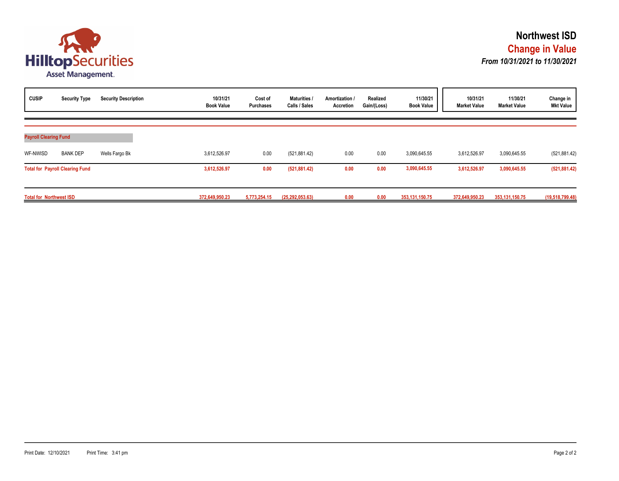

| <b>CUSIP</b>                   | <b>Security Type</b>                   | <b>Security Description</b> | 10/31/21<br><b>Book Value</b> | Cost of<br><b>Purchases</b> | <b>Maturities</b><br>Calls / Sales | Amortization /<br>Accretion | Realized<br>Gain/(Loss) | 11/30/21<br><b>Book Value</b> | 10/31/21<br><b>Market Value</b> | 11/30/21<br><b>Market Value</b> | Change in<br><b>Mkt Value</b> |
|--------------------------------|----------------------------------------|-----------------------------|-------------------------------|-----------------------------|------------------------------------|-----------------------------|-------------------------|-------------------------------|---------------------------------|---------------------------------|-------------------------------|
| <b>Payroll Clearing Fund</b>   |                                        |                             |                               |                             |                                    |                             |                         |                               |                                 |                                 |                               |
| WF-NWISD                       | <b>BANK DEP</b>                        | Wells Fargo Bk              | 3,612,526.97                  | 0.00                        | (521, 881.42)                      | 0.00                        | 0.00                    | 3,090,645.55                  | 3,612,526.97                    | 3,090,645.55                    | (521, 881.42)                 |
|                                | <b>Total for Payroll Clearing Fund</b> |                             | 3,612,526.97                  | 0.00                        | (521, 881.42)                      | 0.00                        | 0.00                    | 3,090,645.55                  | 3,612,526.97                    | 3,090,645.55                    | (521, 881.42)                 |
| <b>Total for Northwest ISD</b> |                                        |                             | 372,649,950.23                | 5,773,254.15                | (25, 292, 053, 63)                 | 0.00                        | 0.00                    | 353, 131, 150. 75             | 372,649,950.23                  | 353, 131, 150. 75               | (19,518,799.48)               |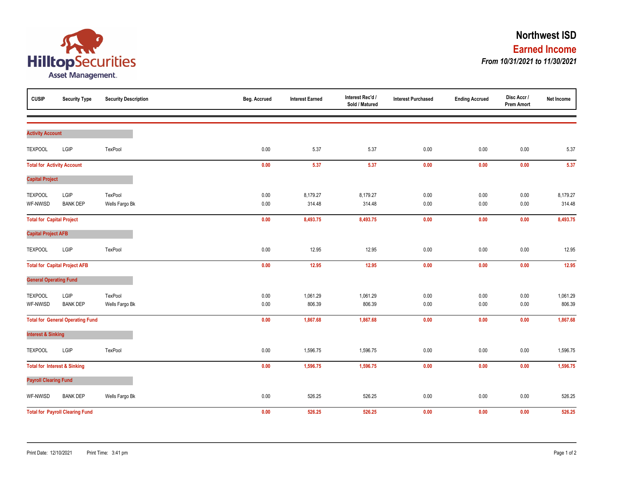

| <b>CUSIP</b>                      | <b>Security Type</b>                    | <b>Security Description</b> | Beg. Accrued | <b>Interest Earned</b> | Interest Rec'd /<br>Sold / Matured | <b>Interest Purchased</b> | <b>Ending Accrued</b> | Disc Accr /<br><b>Prem Amort</b> | Net Income |
|-----------------------------------|-----------------------------------------|-----------------------------|--------------|------------------------|------------------------------------|---------------------------|-----------------------|----------------------------------|------------|
|                                   |                                         |                             |              |                        |                                    |                           |                       |                                  |            |
| <b>Activity Account</b>           |                                         |                             |              |                        |                                    |                           |                       |                                  |            |
| <b>TEXPOOL</b>                    | LGIP                                    | TexPool                     | 0.00         | 5.37                   | 5.37                               | 0.00                      | $0.00\,$              | 0.00                             | 5.37       |
| <b>Total for Activity Account</b> |                                         |                             | 0.00         | 5.37                   | 5.37                               | 0.00                      | 0.00                  | 0.00                             | 5.37       |
| <b>Capital Project</b>            |                                         |                             |              |                        |                                    |                           |                       |                                  |            |
| <b>TEXPOOL</b>                    | LGIP                                    | TexPool                     | 0.00         | 8,179.27               | 8,179.27                           | 0.00                      | 0.00                  | 0.00                             | 8,179.27   |
| WF-NWISD                          | <b>BANK DEP</b>                         | Wells Fargo Bk              | 0.00         | 314.48                 | 314.48                             | 0.00                      | 0.00                  | $0.00\,$                         | 314.48     |
| <b>Total for Capital Project</b>  |                                         |                             | 0.00         | 8,493.75               | 8,493.75                           | 0.00                      | 0.00                  | 0.00                             | 8,493.75   |
| <b>Capital Project AFB</b>        |                                         |                             |              |                        |                                    |                           |                       |                                  |            |
| <b>TEXPOOL</b>                    | LGIP                                    | TexPool                     | 0.00         | 12.95                  | 12.95                              | 0.00                      | 0.00                  | $0.00\,$                         | 12.95      |
|                                   | <b>Total for Capital Project AFB</b>    |                             | 0.00         | 12.95                  | 12.95                              | 0.00                      | 0.00                  | 0.00                             | 12.95      |
| <b>General Operating Fund</b>     |                                         |                             |              |                        |                                    |                           |                       |                                  |            |
| <b>TEXPOOL</b>                    | LGIP                                    | TexPool                     | 0.00         | 1,061.29               | 1,061.29                           | 0.00                      | 0.00                  | 0.00                             | 1,061.29   |
| WF-NWISD                          | <b>BANK DEP</b>                         | Wells Fargo Bk              | 0.00         | 806.39                 | 806.39                             | 0.00                      | 0.00                  | $0.00\,$                         | 806.39     |
|                                   | <b>Total for General Operating Fund</b> |                             | 0.00         | 1,867.68               | 1,867.68                           | 0.00                      | $0.00\,$              | 0.00                             | 1,867.68   |
| <b>Interest &amp; Sinking</b>     |                                         |                             |              |                        |                                    |                           |                       |                                  |            |
| <b>TEXPOOL</b>                    | LGIP                                    | TexPool                     | 0.00         | 1,596.75               | 1,596.75                           | 0.00                      | 0.00                  | 0.00                             | 1,596.75   |
|                                   | <b>Total for Interest &amp; Sinking</b> |                             | 0.00         | 1,596.75               | 1,596.75                           | 0.00                      | 0.00                  | 0.00                             | 1,596.75   |
| <b>Payroll Clearing Fund</b>      |                                         |                             |              |                        |                                    |                           |                       |                                  |            |
| WF-NWISD                          | <b>BANK DEP</b>                         | Wells Fargo Bk              | 0.00         | 526.25                 | 526.25                             | 0.00                      | 0.00                  | 0.00                             | 526.25     |
|                                   | <b>Total for Payroll Clearing Fund</b>  |                             | 0.00         | 526.25                 | 526.25                             | 0.00                      | 0.00                  | 0.00                             | 526.25     |